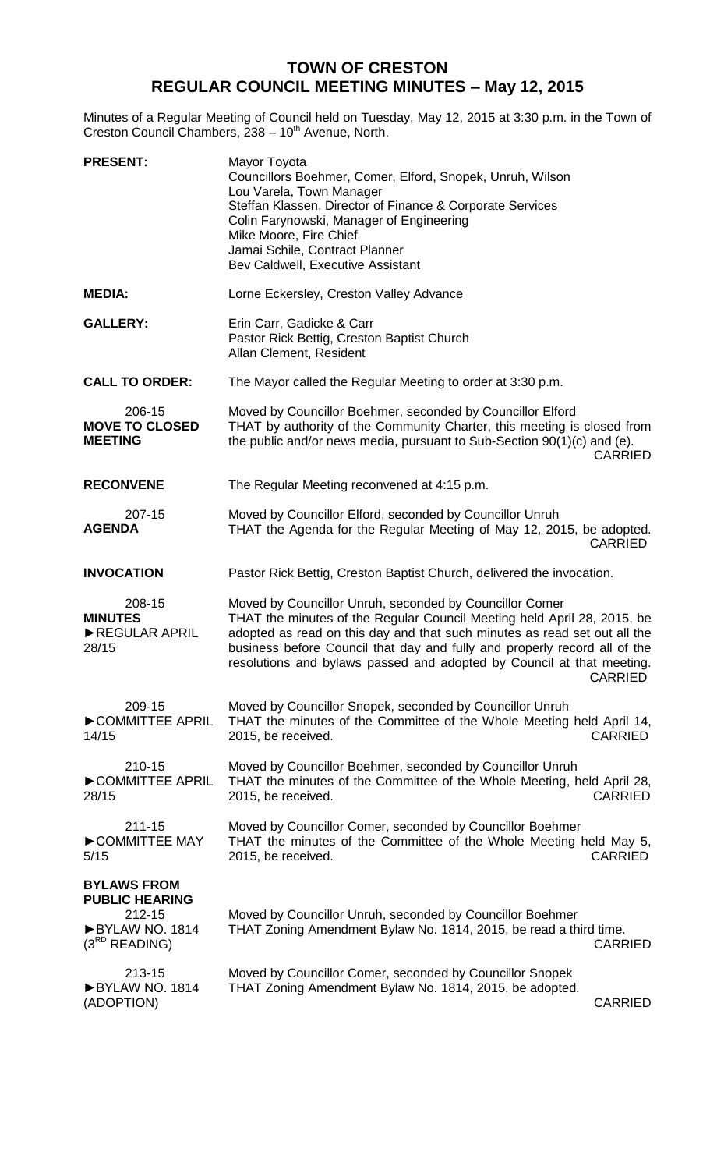## **TOWN OF CRESTON REGULAR COUNCIL MEETING MINUTES – May 12, 2015**

Minutes of a Regular Meeting of Council held on Tuesday, May 12, 2015 at 3:30 p.m. in the Town of Creston Council Chambers, 238 - 10<sup>th</sup> Avenue, North.

| <b>PRESENT:</b>                                                                               | Mayor Toyota<br>Councillors Boehmer, Comer, Elford, Snopek, Unruh, Wilson<br>Lou Varela, Town Manager<br>Steffan Klassen, Director of Finance & Corporate Services<br>Colin Farynowski, Manager of Engineering<br>Mike Moore, Fire Chief<br>Jamai Schile, Contract Planner<br>Bev Caldwell, Executive Assistant                                                                         |
|-----------------------------------------------------------------------------------------------|-----------------------------------------------------------------------------------------------------------------------------------------------------------------------------------------------------------------------------------------------------------------------------------------------------------------------------------------------------------------------------------------|
| <b>MEDIA:</b>                                                                                 | Lorne Eckersley, Creston Valley Advance                                                                                                                                                                                                                                                                                                                                                 |
| <b>GALLERY:</b>                                                                               | Erin Carr, Gadicke & Carr<br>Pastor Rick Bettig, Creston Baptist Church<br>Allan Clement, Resident                                                                                                                                                                                                                                                                                      |
| <b>CALL TO ORDER:</b>                                                                         | The Mayor called the Regular Meeting to order at 3:30 p.m.                                                                                                                                                                                                                                                                                                                              |
| 206-15<br><b>MOVE TO CLOSED</b><br><b>MEETING</b>                                             | Moved by Councillor Boehmer, seconded by Councillor Elford<br>THAT by authority of the Community Charter, this meeting is closed from<br>the public and/or news media, pursuant to Sub-Section 90(1)(c) and (e).<br><b>CARRIED</b>                                                                                                                                                      |
| <b>RECONVENE</b>                                                                              | The Regular Meeting reconvened at 4:15 p.m.                                                                                                                                                                                                                                                                                                                                             |
| 207-15<br><b>AGENDA</b>                                                                       | Moved by Councillor Elford, seconded by Councillor Unruh<br>THAT the Agenda for the Regular Meeting of May 12, 2015, be adopted.<br><b>CARRIED</b>                                                                                                                                                                                                                                      |
| <b>INVOCATION</b>                                                                             | Pastor Rick Bettig, Creston Baptist Church, delivered the invocation.                                                                                                                                                                                                                                                                                                                   |
| 208-15<br><b>MINUTES</b><br>REGULAR APRIL<br>28/15                                            | Moved by Councillor Unruh, seconded by Councillor Comer<br>THAT the minutes of the Regular Council Meeting held April 28, 2015, be<br>adopted as read on this day and that such minutes as read set out all the<br>business before Council that day and fully and properly record all of the<br>resolutions and bylaws passed and adopted by Council at that meeting.<br><b>CARRIED</b> |
| 209-15<br>COMMITTEE APRIL<br>14/15                                                            | Moved by Councillor Snopek, seconded by Councillor Unruh<br>THAT the minutes of the Committee of the Whole Meeting held April 14,<br><b>CARRIED</b><br>2015, be received.                                                                                                                                                                                                               |
| 210-15<br>COMMITTEE APRIL<br>28/15                                                            | Moved by Councillor Boehmer, seconded by Councillor Unruh<br>THAT the minutes of the Committee of the Whole Meeting, held April 28,<br><b>CARRIED</b><br>2015, be received.                                                                                                                                                                                                             |
| 211-15<br>COMMITTEE MAY<br>5/15                                                               | Moved by Councillor Comer, seconded by Councillor Boehmer<br>THAT the minutes of the Committee of the Whole Meeting held May 5,<br><b>CARRIED</b><br>2015, be received.                                                                                                                                                                                                                 |
| <b>BYLAWS FROM</b><br><b>PUBLIC HEARING</b><br>212-15<br>BYLAW NO. 1814<br>$(3^{RD}$ READING) | Moved by Councillor Unruh, seconded by Councillor Boehmer<br>THAT Zoning Amendment Bylaw No. 1814, 2015, be read a third time.<br><b>CARRIED</b>                                                                                                                                                                                                                                        |
| 213-15<br>BYLAW NO. 1814<br>(ADOPTION)                                                        | Moved by Councillor Comer, seconded by Councillor Snopek<br>THAT Zoning Amendment Bylaw No. 1814, 2015, be adopted.<br><b>CARRIED</b>                                                                                                                                                                                                                                                   |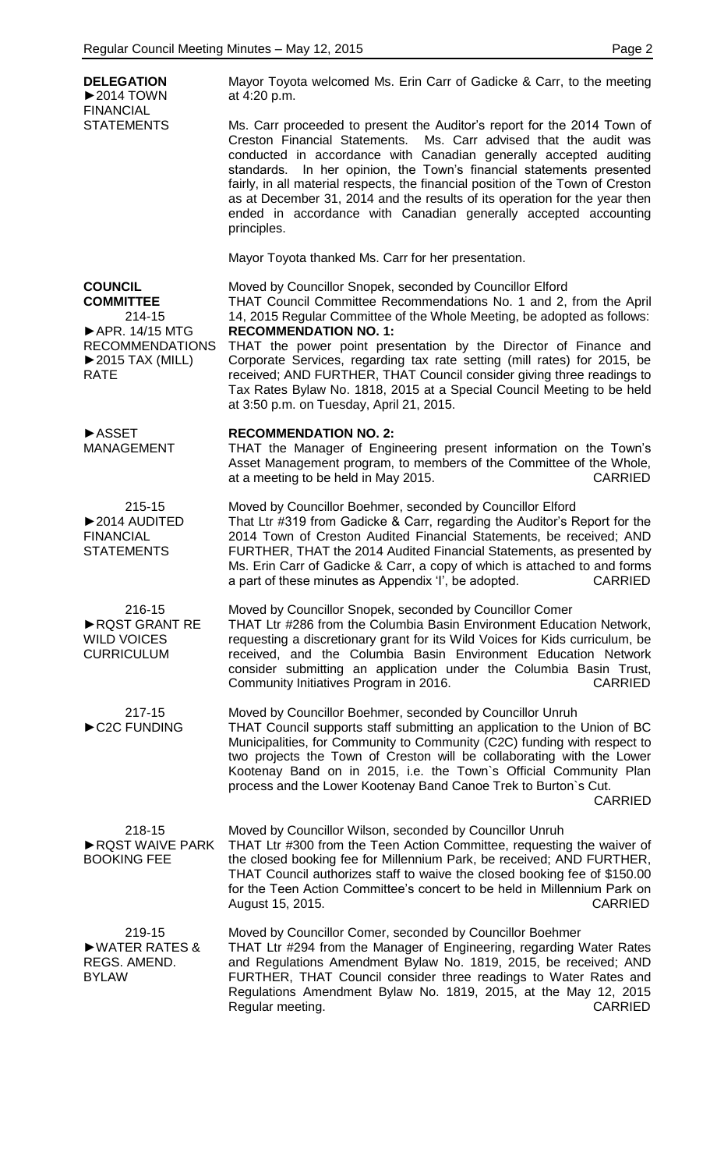| <b>DELEGATION</b><br>$\blacktriangleright$ 2014 TOWN<br><b>FINANCIAL</b><br><b>STATEMENTS</b>                                                    | Mayor Toyota welcomed Ms. Erin Carr of Gadicke & Carr, to the meeting<br>at 4:20 p.m.                                                                                                                                                                                                                                                                                                                                                                                                                                                                                                     |
|--------------------------------------------------------------------------------------------------------------------------------------------------|-------------------------------------------------------------------------------------------------------------------------------------------------------------------------------------------------------------------------------------------------------------------------------------------------------------------------------------------------------------------------------------------------------------------------------------------------------------------------------------------------------------------------------------------------------------------------------------------|
|                                                                                                                                                  | Ms. Carr proceeded to present the Auditor's report for the 2014 Town of<br>Creston Financial Statements. Ms. Carr advised that the audit was<br>conducted in accordance with Canadian generally accepted auditing<br>standards. In her opinion, the Town's financial statements presented<br>fairly, in all material respects, the financial position of the Town of Creston<br>as at December 31, 2014 and the results of its operation for the year then<br>ended in accordance with Canadian generally accepted accounting<br>principles.                                              |
|                                                                                                                                                  | Mayor Toyota thanked Ms. Carr for her presentation.                                                                                                                                                                                                                                                                                                                                                                                                                                                                                                                                       |
| <b>COUNCIL</b><br><b>COMMITTEE</b><br>214-15<br>APR. 14/15 MTG<br><b>RECOMMENDATIONS</b><br>$\blacktriangleright$ 2015 TAX (MILL)<br><b>RATE</b> | Moved by Councillor Snopek, seconded by Councillor Elford<br>THAT Council Committee Recommendations No. 1 and 2, from the April<br>14, 2015 Regular Committee of the Whole Meeting, be adopted as follows:<br><b>RECOMMENDATION NO. 1:</b><br>THAT the power point presentation by the Director of Finance and<br>Corporate Services, regarding tax rate setting (mill rates) for 2015, be<br>received; AND FURTHER, THAT Council consider giving three readings to<br>Tax Rates Bylaw No. 1818, 2015 at a Special Council Meeting to be held<br>at 3:50 p.m. on Tuesday, April 21, 2015. |
| <b>ASSET</b><br><b>MANAGEMENT</b>                                                                                                                | <b>RECOMMENDATION NO. 2:</b><br>THAT the Manager of Engineering present information on the Town's<br>Asset Management program, to members of the Committee of the Whole,<br>at a meeting to be held in May 2015.<br><b>CARRIED</b>                                                                                                                                                                                                                                                                                                                                                        |
| 215-15<br>$\triangleright$ 2014 AUDITED<br><b>FINANCIAL</b><br><b>STATEMENTS</b>                                                                 | Moved by Councillor Boehmer, seconded by Councillor Elford<br>That Ltr #319 from Gadicke & Carr, regarding the Auditor's Report for the<br>2014 Town of Creston Audited Financial Statements, be received; AND<br>FURTHER, THAT the 2014 Audited Financial Statements, as presented by<br>Ms. Erin Carr of Gadicke & Carr, a copy of which is attached to and forms<br>a part of these minutes as Appendix 'I', be adopted.<br><b>CARRIED</b>                                                                                                                                             |
| 216-15<br>RQST GRANT RE<br><b>WILD VOICES</b><br><b>CURRICULUM</b>                                                                               | Moved by Councillor Snopek, seconded by Councillor Comer<br>THAT Ltr #286 from the Columbia Basin Environment Education Network,<br>requesting a discretionary grant for its Wild Voices for Kids curriculum, be<br>received, and the Columbia Basin Environment Education Network<br>consider submitting an application under the Columbia Basin Trust,<br><b>CARRIED</b><br>Community Initiatives Program in 2016.                                                                                                                                                                      |
| 217-15<br>C2C FUNDING                                                                                                                            | Moved by Councillor Boehmer, seconded by Councillor Unruh<br>THAT Council supports staff submitting an application to the Union of BC<br>Municipalities, for Community to Community (C2C) funding with respect to<br>two projects the Town of Creston will be collaborating with the Lower<br>Kootenay Band on in 2015, i.e. the Town's Official Community Plan<br>process and the Lower Kootenay Band Canoe Trek to Burton's Cut.<br><b>CARRIED</b>                                                                                                                                      |
| 218-15<br>RQST WAIVE PARK<br><b>BOOKING FEE</b>                                                                                                  | Moved by Councillor Wilson, seconded by Councillor Unruh<br>THAT Ltr #300 from the Teen Action Committee, requesting the waiver of<br>the closed booking fee for Millennium Park, be received; AND FURTHER,<br>THAT Council authorizes staff to waive the closed booking fee of \$150.00<br>for the Teen Action Committee's concert to be held in Millennium Park on<br><b>CARRIED</b><br>August 15, 2015.                                                                                                                                                                                |
| 219-15<br>WATER RATES &<br>REGS. AMEND.<br><b>BYLAW</b>                                                                                          | Moved by Councillor Comer, seconded by Councillor Boehmer<br>THAT Ltr #294 from the Manager of Engineering, regarding Water Rates<br>and Regulations Amendment Bylaw No. 1819, 2015, be received; AND<br>FURTHER, THAT Council consider three readings to Water Rates and<br>Regulations Amendment Bylaw No. 1819, 2015, at the May 12, 2015<br>Regular meeting.<br><b>CARRIED</b>                                                                                                                                                                                                        |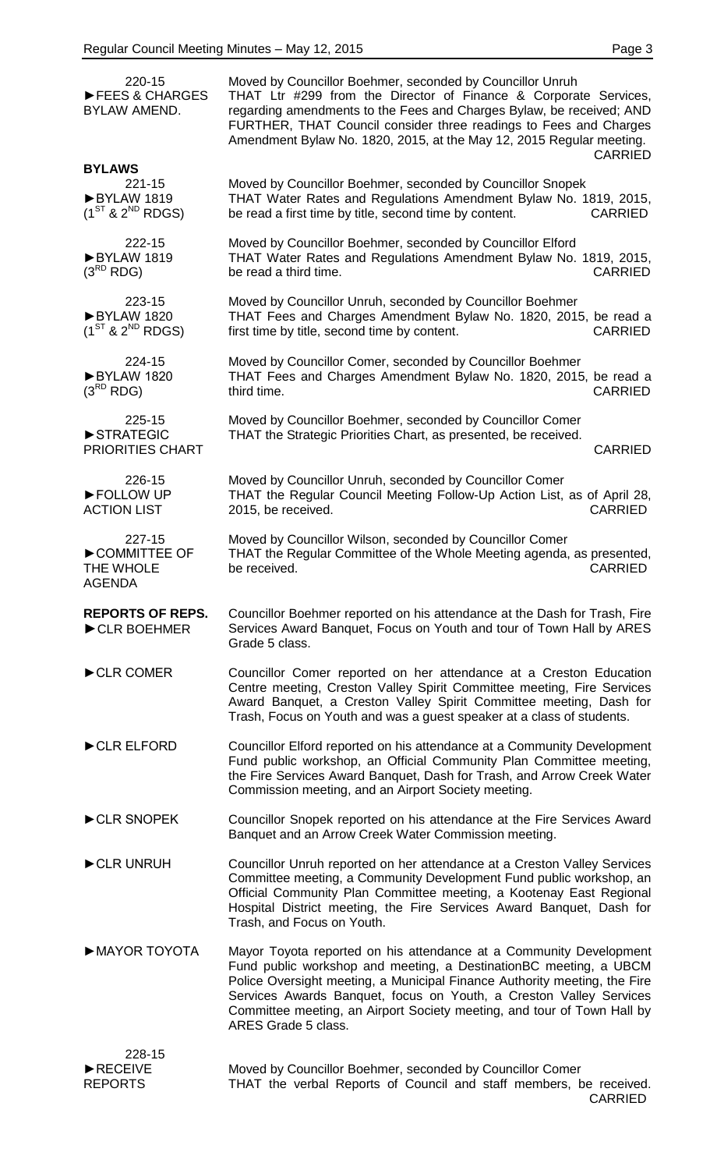| 220-15<br>FEES & CHARGES<br>BYLAW AMEND.             | Moved by Councillor Boehmer, seconded by Councillor Unruh<br>THAT Ltr #299 from the Director of Finance & Corporate Services,<br>regarding amendments to the Fees and Charges Bylaw, be received; AND<br>FURTHER, THAT Council consider three readings to Fees and Charges<br>Amendment Bylaw No. 1820, 2015, at the May 12, 2015 Regular meeting.<br><b>CARRIED</b>                         |
|------------------------------------------------------|----------------------------------------------------------------------------------------------------------------------------------------------------------------------------------------------------------------------------------------------------------------------------------------------------------------------------------------------------------------------------------------------|
| <b>BYLAWS</b><br>$221 - 15$                          | Moved by Councillor Boehmer, seconded by Councillor Snopek                                                                                                                                                                                                                                                                                                                                   |
| BYLAW 1819<br>$(1^{ST}$ & $2^{ND}$ RDGS)             | THAT Water Rates and Regulations Amendment Bylaw No. 1819, 2015,<br>be read a first time by title, second time by content.<br><b>CARRIED</b>                                                                                                                                                                                                                                                 |
| 222-15<br>BYLAW 1819<br>$(3^{RD}$ RDG)               | Moved by Councillor Boehmer, seconded by Councillor Elford<br>THAT Water Rates and Regulations Amendment Bylaw No. 1819, 2015,<br>be read a third time.<br><b>CARRIED</b>                                                                                                                                                                                                                    |
| 223-15<br>BYLAW 1820<br>$(1^{ST}$ & $2^{ND}$ RDGS)   | Moved by Councillor Unruh, seconded by Councillor Boehmer<br>THAT Fees and Charges Amendment Bylaw No. 1820, 2015, be read a<br>first time by title, second time by content.<br><b>CARRIED</b>                                                                                                                                                                                               |
| 224-15<br>BYLAW 1820<br>$(3^{RD}$ RDG)               | Moved by Councillor Comer, seconded by Councillor Boehmer<br>THAT Fees and Charges Amendment Bylaw No. 1820, 2015, be read a<br>third time.<br><b>CARRIED</b>                                                                                                                                                                                                                                |
| 225-15<br>STRATEGIC<br><b>PRIORITIES CHART</b>       | Moved by Councillor Boehmer, seconded by Councillor Comer<br>THAT the Strategic Priorities Chart, as presented, be received.<br><b>CARRIED</b>                                                                                                                                                                                                                                               |
| 226-15<br>FOLLOW UP<br><b>ACTION LIST</b>            | Moved by Councillor Unruh, seconded by Councillor Comer<br>THAT the Regular Council Meeting Follow-Up Action List, as of April 28,<br>2015, be received.<br><b>CARRIED</b>                                                                                                                                                                                                                   |
| 227-15<br>COMMITTEE OF<br>THE WHOLE<br><b>AGENDA</b> | Moved by Councillor Wilson, seconded by Councillor Comer<br>THAT the Regular Committee of the Whole Meeting agenda, as presented,<br>be received.<br><b>CARRIED</b>                                                                                                                                                                                                                          |
| <b>REPORTS OF REPS.</b><br>CLR BOEHMER               | Councillor Boehmer reported on his attendance at the Dash for Trash, Fire<br>Services Award Banquet, Focus on Youth and tour of Town Hall by ARES<br>Grade 5 class.                                                                                                                                                                                                                          |
| CLR COMER                                            | Councillor Comer reported on her attendance at a Creston Education<br>Centre meeting, Creston Valley Spirit Committee meeting, Fire Services<br>Award Banquet, a Creston Valley Spirit Committee meeting, Dash for<br>Trash, Focus on Youth and was a guest speaker at a class of students.                                                                                                  |
| CLR ELFORD                                           | Councillor Elford reported on his attendance at a Community Development<br>Fund public workshop, an Official Community Plan Committee meeting,<br>the Fire Services Award Banquet, Dash for Trash, and Arrow Creek Water<br>Commission meeting, and an Airport Society meeting.                                                                                                              |
| CLR SNOPEK                                           | Councillor Snopek reported on his attendance at the Fire Services Award<br>Banquet and an Arrow Creek Water Commission meeting.                                                                                                                                                                                                                                                              |
| CLR UNRUH                                            | Councillor Unruh reported on her attendance at a Creston Valley Services<br>Committee meeting, a Community Development Fund public workshop, an<br>Official Community Plan Committee meeting, a Kootenay East Regional<br>Hospital District meeting, the Fire Services Award Banquet, Dash for<br>Trash, and Focus on Youth.                                                                 |
| MAYOR TOYOTA                                         | Mayor Toyota reported on his attendance at a Community Development<br>Fund public workshop and meeting, a DestinationBC meeting, a UBCM<br>Police Oversight meeting, a Municipal Finance Authority meeting, the Fire<br>Services Awards Banquet, focus on Youth, a Creston Valley Services<br>Committee meeting, an Airport Society meeting, and tour of Town Hall by<br>ARES Grade 5 class. |
| 228-15<br>RECEIVE<br><b>REPORTS</b>                  | Moved by Councillor Boehmer, seconded by Councillor Comer<br>THAT the verbal Reports of Council and staff members, be received.<br><b>CARRIED</b>                                                                                                                                                                                                                                            |